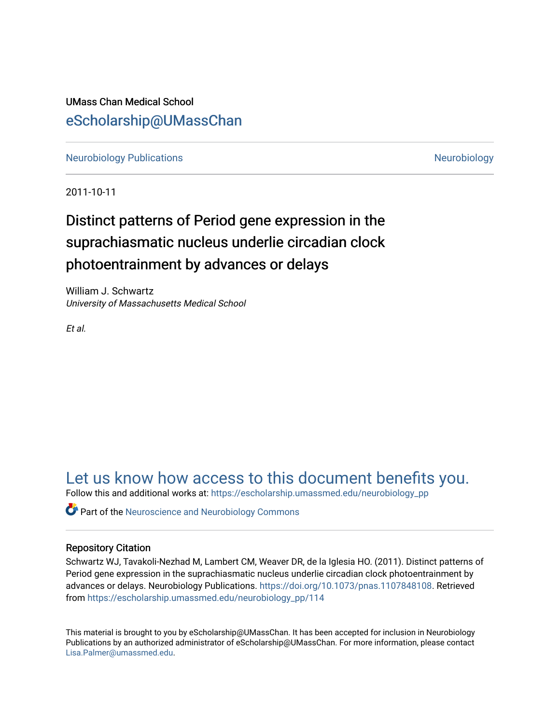UMass Chan Medical School [eScholarship@UMassChan](https://escholarship.umassmed.edu/) 

[Neurobiology Publications](https://escholarship.umassmed.edu/neurobiology_pp) **Neurobiology Neurobiology** 

2011-10-11

## Distinct patterns of Period gene expression in the suprachiasmatic nucleus underlie circadian clock photoentrainment by advances or delays

William J. Schwartz University of Massachusetts Medical School

Et al.

[Let us know how access to this document benefits you.](https://arcsapps.umassmed.edu/redcap/surveys/?s=XWRHNF9EJE) 

Follow this and additional works at: [https://escholarship.umassmed.edu/neurobiology\\_pp](https://escholarship.umassmed.edu/neurobiology_pp?utm_source=escholarship.umassmed.edu%2Fneurobiology_pp%2F114&utm_medium=PDF&utm_campaign=PDFCoverPages) 

**C** Part of the Neuroscience and Neurobiology Commons

### Repository Citation

Schwartz WJ, Tavakoli-Nezhad M, Lambert CM, Weaver DR, de la Iglesia HO. (2011). Distinct patterns of Period gene expression in the suprachiasmatic nucleus underlie circadian clock photoentrainment by advances or delays. Neurobiology Publications. <https://doi.org/10.1073/pnas.1107848108>. Retrieved from [https://escholarship.umassmed.edu/neurobiology\\_pp/114](https://escholarship.umassmed.edu/neurobiology_pp/114?utm_source=escholarship.umassmed.edu%2Fneurobiology_pp%2F114&utm_medium=PDF&utm_campaign=PDFCoverPages) 

This material is brought to you by eScholarship@UMassChan. It has been accepted for inclusion in Neurobiology Publications by an authorized administrator of eScholarship@UMassChan. For more information, please contact [Lisa.Palmer@umassmed.edu](mailto:Lisa.Palmer@umassmed.edu).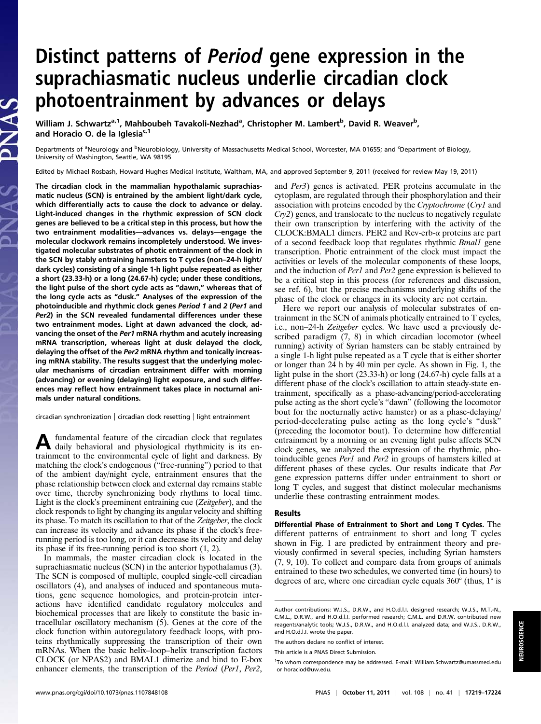# Distinct patterns of Period gene expression in the suprachiasmatic nucleus underlie circadian clock photoentrainment by advances or delays

William J. Schwartz<sup>a,1</sup>, Mahboubeh Tavakoli-Nezhad<sup>a</sup>, Christopher M. Lambert<sup>b</sup>, David R. Weaver<sup>b</sup>, and Horacio O. de la Iglesia<sup>c,1</sup>

Departments of <sup>a</sup>Neurology and <sup>b</sup>Neurobiology, University of Massachusetts Medical School, Worcester, MA 01655; and <sup>c</sup>Department of Biology, University of Washington, Seattle, WA 98195

Edited by Michael Rosbash, Howard Hughes Medical Institute, Waltham, MA, and approved September 9, 2011 (received for review May 19, 2011)

The circadian clock in the mammalian hypothalamic suprachiasmatic nucleus (SCN) is entrained by the ambient light/dark cycle, which differentially acts to cause the clock to advance or delay. Light-induced changes in the rhythmic expression of SCN clock genes are believed to be a critical step in this process, but how the two entrainment modalities—advances vs. delays—engage the molecular clockwork remains incompletely understood. We investigated molecular substrates of photic entrainment of the clock in the SCN by stably entraining hamsters to T cycles (non–24-h light/ dark cycles) consisting of a single 1-h light pulse repeated as either a short (23.33-h) or a long (24.67-h) cycle; under these conditions, the light pulse of the short cycle acts as "dawn," whereas that of the long cycle acts as "dusk." Analyses of the expression of the photoinducible and rhythmic clock genes Period 1 and 2 (Per1 and Per2) in the SCN revealed fundamental differences under these two entrainment modes. Light at dawn advanced the clock, advancing the onset of the Per1 mRNA rhythm and acutely increasing mRNA transcription, whereas light at dusk delayed the clock, delaying the offset of the Per2 mRNA rhythm and tonically increasing mRNA stability. The results suggest that the underlying molecular mechanisms of circadian entrainment differ with morning (advancing) or evening (delaying) light exposure, and such differences may reflect how entrainment takes place in nocturnal animals under natural conditions.

circadian synchronization | circadian clock resetting | light entrainment

A fundamental feature of the circadian clock that regulates daily behavioral and physiological rhythmicity is its entrainment to the environmental cycle of light and darkness. By matching the clock's endogenous ("free-running") period to that of the ambient day/night cycle, entrainment ensures that the phase relationship between clock and external day remains stable over time, thereby synchronizing body rhythms to local time. Light is the clock's preeminent entraining cue (Zeitgeber), and the clock responds to light by changing its angular velocity and shifting its phase. To match its oscillation to that of the Zeitgeber, the clock can increase its velocity and advance its phase if the clock's freerunning period is too long, or it can decrease its velocity and delay its phase if its free-running period is too short (1, 2).

In mammals, the master circadian clock is located in the suprachiasmatic nucleus (SCN) in the anterior hypothalamus (3). The SCN is composed of multiple, coupled single-cell circadian oscillators (4), and analyses of induced and spontaneous mutations, gene sequence homologies, and protein-protein interactions have identified candidate regulatory molecules and biochemical processes that are likely to constitute the basic intracellular oscillatory mechanism (5). Genes at the core of the clock function within autoregulatory feedback loops, with proteins rhythmically suppressing the transcription of their own mRNAs. When the basic helix–loop–helix transcription factors CLOCK (or NPAS2) and BMAL1 dimerize and bind to E-box enhancer elements, the transcription of the Period (Per1, Per2, and Per3) genes is activated. PER proteins accumulate in the cytoplasm, are regulated through their phosphorylation and their association with proteins encoded by the Cryptochrome (Cry1 and  $C_{\text{IV}}$ ) genes, and translocate to the nucleus to negatively regulate their own transcription by interfering with the activity of the CLOCK:BMAL1 dimers. PER2 and Rev-erb-α proteins are part of a second feedback loop that regulates rhythmic Bmal1 gene transcription. Photic entrainment of the clock must impact the activities or levels of the molecular components of these loops, and the induction of Per1 and Per2 gene expression is believed to be a critical step in this process (for references and discussion, see ref. 6), but the precise mechanisms underlying shifts of the phase of the clock or changes in its velocity are not certain.

Here we report our analysis of molecular substrates of entrainment in the SCN of animals photically entrained to T cycles, i.e., non–24-h Zeitgeber cycles. We have used a previously described paradigm (7, 8) in which circadian locomotor (wheel running) activity of Syrian hamsters can be stably entrained by a single 1-h light pulse repeated as a T cycle that is either shorter or longer than 24 h by 40 min per cycle. As shown in Fig. 1, the light pulse in the short (23.33-h) or long (24.67-h) cycle falls at a different phase of the clock's oscillation to attain steady-state entrainment, specifically as a phase-advancing/period-accelerating pulse acting as the short cycle's "dawn" (following the locomotor bout for the nocturnally active hamster) or as a phase-delaying/ period-decelerating pulse acting as the long cycle's "dusk" (preceding the locomotor bout). To determine how differential entrainment by a morning or an evening light pulse affects SCN clock genes, we analyzed the expression of the rhythmic, photoinducible genes Per1 and Per2 in groups of hamsters killed at different phases of these cycles. Our results indicate that Per gene expression patterns differ under entrainment to short or long T cycles, and suggest that distinct molecular mechanisms underlie these contrasting entrainment modes.

#### Results

Differential Phase of Entrainment to Short and Long T Cycles. The different patterns of entrainment to short and long T cycles shown in Fig. 1 are predicted by entrainment theory and previously confirmed in several species, including Syrian hamsters (7, 9, 10). To collect and compare data from groups of animals entrained to these two schedules, we converted time (in hours) to degrees of arc, where one circadian cycle equals 360° (thus, 1° is

Author contributions: W.J.S., D.R.W., and H.O.d.l.I. designed research; W.J.S., M.T.-N., C.M.L., D.R.W., and H.O.d.l.I. performed research; C.M.L. and D.R.W. contributed new reagents/analytic tools; W.J.S., D.R.W., and H.O.d.l.I. analyzed data; and W.J.S., D.R.W., and H.O.d.l.I. wrote the paper.

The authors declare no conflict of interest.

This article is a PNAS Direct Submission.

<sup>&</sup>lt;sup>1</sup>To whom correspondence may be addressed. E-mail: [William.Schwartz@umassmed.edu](mailto:William.Schwartz@umassmed.edu) or [horaciod@uw.edu.](mailto:horaciod@uw.edu)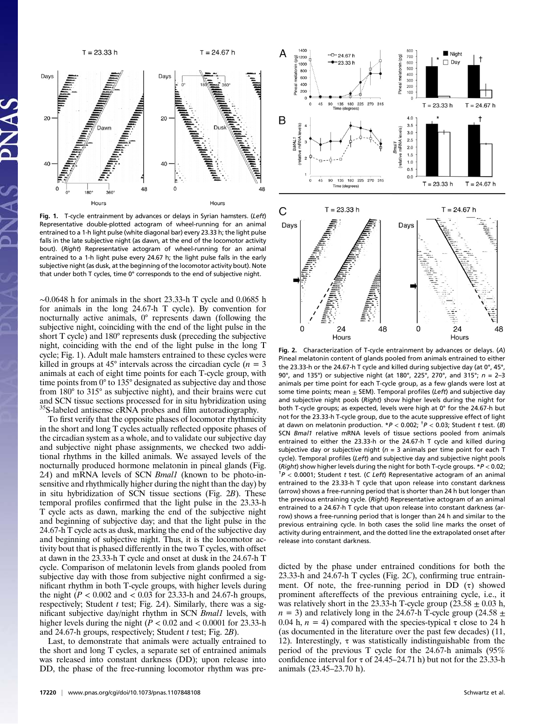

Fig. 1. T-cycle entrainment by advances or delays in Syrian hamsters. (Left) Representative double-plotted actogram of wheel-running for an animal entrained to a 1-h light pulse (white diagonal bar) every 23.33 h; the light pulse falls in the late subjective night (as dawn, at the end of the locomotor activity bout). (Right) Representative actogram of wheel-running for an animal entrained to a 1-h light pulse every 24.67 h; the light pulse falls in the early subjective night (as dusk, at the beginning of the locomotor activity bout). Note that under both T cycles, time 0° corresponds to the end of subjective night.

∼0.0648 h for animals in the short 23.33-h T cycle and 0.0685 h for animals in the long 24.67-h T cycle). By convention for nocturnally active animals, 0° represents dawn (following the subjective night, coinciding with the end of the light pulse in the short T cycle) and 180° represents dusk (preceding the subjective night, coinciding with the end of the light pulse in the long T cycle; Fig. 1). Adult male hamsters entrained to these cycles were killed in groups at 45° intervals across the circadian cycle  $(n = 3$ animals at each of eight time points for each T-cycle group, with time points from 0° to 135° designated as subjective day and those from 180° to 315° as subjective night), and their brains were cut and SCN tissue sections processed for in situ hybridization using  $35$ S-labeled antisense cRNA probes and film autoradiography.

To first verify that the opposite phases of locomotor rhythmicity in the short and long T cycles actually reflected opposite phases of the circadian system as a whole, and to validate our subjective day and subjective night phase assignments, we checked two additional rhythms in the killed animals. We assayed levels of the nocturnally produced hormone melatonin in pineal glands (Fig. 24) and mRNA levels of SCN *Bmal1* (known to be photo-insensitive and rhythmically higher during the night than the day) by in situ hybridization of SCN tissue sections (Fig. 2B). These temporal profiles confirmed that the light pulse in the 23.33-h T cycle acts as dawn, marking the end of the subjective night and beginning of subjective day; and that the light pulse in the 24.67-h T cycle acts as dusk, marking the end of the subjective day and beginning of subjective night. Thus, it is the locomotor activity bout that is phased differently in the two T cycles, with offset at dawn in the 23.33-h T cycle and onset at dusk in the 24.67-h T cycle. Comparison of melatonin levels from glands pooled from subjective day with those from subjective night confirmed a significant rhythm in both T-cycle groups, with higher levels during the night ( $P < 0.002$  and  $< 0.03$  for 23.33-h and 24.67-h groups, respectively; Student  $t$  test; Fig. 2A). Similarly, there was a significant subjective day/night rhythm in SCN Bmal1 levels, with higher levels during the night ( $P < 0.02$  and  $< 0.0001$  for 23.33-h and 24.67-h groups, respectively; Student  $t$  test; Fig. 2B).

Last, to demonstrate that animals were actually entrained to the short and long T cycles, a separate set of entrained animals was released into constant darkness (DD); upon release into DD, the phase of the free-running locomotor rhythm was pre-



Fig. 2. Characterization of T-cycle entrainment by advances or delays. (A) Pineal melatonin content of glands pooled from animals entrained to either the 23.33-h or the 24.67-h T cycle and killed during subjective day (at 0°, 45°, 90°, and 135°) or subjective night (at 180°, 225°, 270°, and 315°; n = 2–3 animals per time point for each T-cycle group, as a few glands were lost at some time points; mean  $\pm$  SEM). Temporal profiles (Left) and subjective day and subjective night pools (Right) show higher levels during the night for both T-cycle groups; as expected, levels were high at 0° for the 24.67-h but not for the 23.33-h T-cycle group, due to the acute suppressive effect of light at dawn on melatonin production.  $*P < 0.002$ ;  $^{\dagger}P < 0.03$ ; Student t test. (B) SCN Bmal1 relative mRNA levels of tissue sections pooled from animals entrained to either the 23.33-h or the 24.67-h T cycle and killed during subjective day or subjective night ( $n = 3$  animals per time point for each T cycle). Temporal profiles (Left) and subjective day and subjective night pools (Right) show higher levels during the night for both T-cycle groups.  $*P < 0.02$ ;  $^{\dagger}P < 0.0001$ ; Student t test. (C Left) Representative actogram of an animal entrained to the 23.33-h T cycle that upon release into constant darkness (arrow) shows a free-running period that is shorter than 24 h but longer than the previous entraining cycle. (Right) Representative actogram of an animal entrained to a 24.67-h T cycle that upon release into constant darkness (arrow) shows a free-running period that is longer than 24 h and similar to the previous entraining cycle. In both cases the solid line marks the onset of activity during entrainment, and the dotted line the extrapolated onset after release into constant darkness.

dicted by the phase under entrained conditions for both the 23.33-h and 24.67-h T cycles (Fig. 2C), confirming true entrainment. Of note, the free-running period in DD  $(\tau)$  showed prominent aftereffects of the previous entraining cycle, i.e., it was relatively short in the 23.33-h T-cycle group  $(23.58 \pm 0.03 \text{ h})$ ,  $n = 3$ ) and relatively long in the 24.67-h T-cycle group (24.58  $\pm$ ) 0.04 h,  $n = 4$ ) compared with the species-typical  $\tau$  close to 24 h (as documented in the literature over the past few decades) (11, 12). Interestingly,  $\tau$  was statistically indistinguishable from the period of the previous T cycle for the 24.67-h animals (95% confidence interval for  $\tau$  of 24.45–24.71 h) but not for the 23.33-h animals (23.45–23.70 h).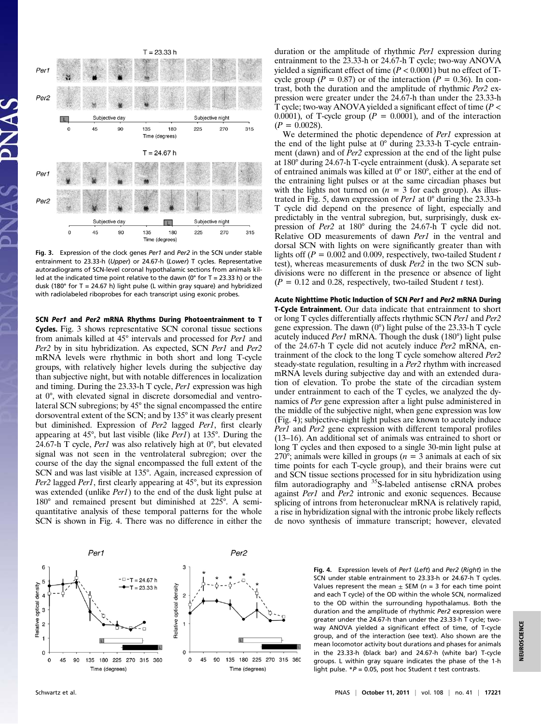

Fig. 3. Expression of the clock genes Per1 and Per2 in the SCN under stable entrainment to 23.33-h (Upper) or 24.67-h (Lower) T cycles. Representative autoradiograms of SCN-level coronal hypothalamic sections from animals killed at the indicated time point relative to the dawn (0° for T = 23.33 h) or the dusk (180° for T = 24.67 h) light pulse (L within gray square) and hybridized with radiolabeled riboprobes for each transcript using exonic probes.

SCN Per1 and Per2 mRNA Rhythms During Photoentrainment to T Cycles. Fig. 3 shows representative SCN coronal tissue sections from animals killed at 45° intervals and processed for Per1 and Per2 by in situ hybridization. As expected, SCN Per1 and Per2 mRNA levels were rhythmic in both short and long T-cycle groups, with relatively higher levels during the subjective day than subjective night, but with notable differences in localization and timing. During the 23.33-h T cycle, Per1 expression was high at 0°, with elevated signal in discrete dorsomedial and ventrolateral SCN subregions; by 45° the signal encompassed the entire dorsoventral extent of the SCN; and by 135° it was clearly present but diminished. Expression of Per2 lagged Per1, first clearly appearing at 45°, but last visible (like Per1) at 135°. During the 24.67-h T cycle, Per1 was also relatively high at 0°, but elevated signal was not seen in the ventrolateral subregion; over the course of the day the signal encompassed the full extent of the SCN and was last visible at 135°. Again, increased expression of Per2 lagged Per1, first clearly appearing at 45°, but its expression was extended (unlike Per1) to the end of the dusk light pulse at 180° and remained present but diminished at 225°. A semiquantitative analysis of these temporal patterns for the whole SCN is shown in Fig. 4. There was no difference in either the



We determined the photic dependence of Per1 expression at the end of the light pulse at 0° during 23.33-h T-cycle entrainment (dawn) and of Per2 expression at the end of the light pulse at 180° during 24.67-h T-cycle entrainment (dusk). A separate set of entrained animals was killed at 0° or 180°, either at the end of the entraining light pulses or at the same circadian phases but with the lights not turned on  $(n = 3$  for each group). As illustrated in Fig. 5, dawn expression of Per1 at 0° during the 23.33-h T cycle did depend on the presence of light, especially and predictably in the ventral subregion, but, surprisingly, dusk expression of Per2 at 180° during the 24.67-h T cycle did not. Relative OD measurements of dawn Per1 in the ventral and dorsal SCN with lights on were significantly greater than with lights off ( $P = 0.002$  and 0.009, respectively, two-tailed Student t test), whereas measurements of dusk Per2 in the two SCN subdivisions were no different in the presence or absence of light  $(P = 0.12$  and 0.28, respectively, two-tailed Student t test).

Acute Nighttime Photic Induction of SCN Per1 and Per2 mRNA During T-Cycle Entrainment. Our data indicate that entrainment to short or long T cycles differentially affects rhythmic SCN Per1 and Per2 gene expression. The dawn  $(0^{\circ})$  light pulse of the 23.33-h T cycle acutely induced Per1 mRNA. Though the dusk (180°) light pulse of the 24.67-h T cycle did not acutely induce Per2 mRNA, entrainment of the clock to the long T cycle somehow altered Per2 steady-state regulation, resulting in a Per2 rhythm with increased mRNA levels during subjective day and with an extended duration of elevation. To probe the state of the circadian system under entrainment to each of the T cycles, we analyzed the dynamics of Per gene expression after a light pulse administered in the middle of the subjective night, when gene expression was low (Fig. 4); subjective-night light pulses are known to acutely induce Per1 and Per2 gene expression with different temporal profiles (13–16). An additional set of animals was entrained to short or long T cycles and then exposed to a single 30-min light pulse at 270°; animals were killed in groups ( $n = 3$  animals at each of six time points for each T-cycle group), and their brains were cut and SCN tissue sections processed for in situ hybridization using film autoradiography and <sup>35</sup>S-labeled antisense cRNA probes against Per1 and Per2 intronic and exonic sequences. Because splicing of introns from heteronuclear mRNA is relatively rapid, a rise in hybridization signal with the intronic probe likely reflects de novo synthesis of immature transcript; however, elevated



Fig. 4. Expression levels of Per1 (Left) and Per2 (Right) in the SCN under stable entrainment to 23.33-h or 24.67-h T cycles. Values represent the mean  $\pm$  SEM (n = 3 for each time point and each T cycle) of the OD within the whole SCN, normalized to the OD within the surrounding hypothalamus. Both the duration and the amplitude of rhythmic Per2 expression were greater under the 24.67-h than under the 23.33-h T cycle; twoway ANOVA yielded a significant effect of time, of T-cycle group, and of the interaction (see text). Also shown are the mean locomotor activity bout durations and phases for animals in the 23.33-h (black bar) and 24.67-h (white bar) T-cycle groups. L within gray square indicates the phase of the 1-h light pulse.  $*P = 0.05$ , post hoc Student t test contrasts.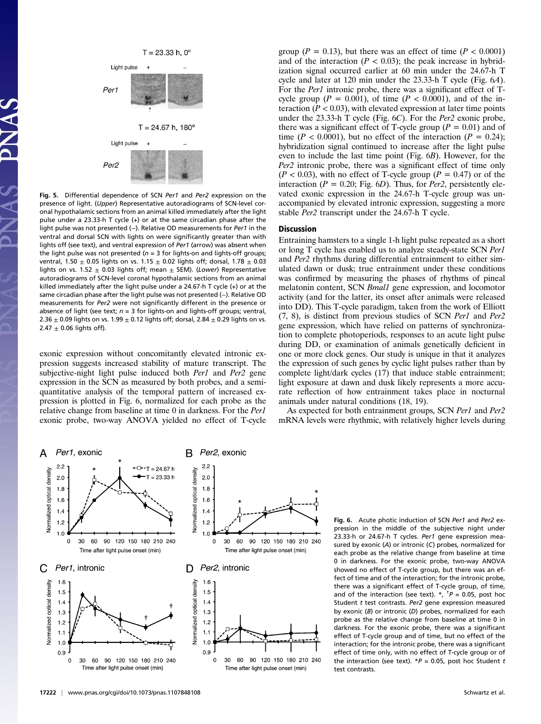

Fig. 5. Differential dependence of SCN Per1 and Per2 expression on the presence of light. (Upper) Representative autoradiograms of SCN-level coronal hypothalamic sections from an animal killed immediately after the light pulse under a 23.33-h T cycle (+) or at the same circadian phase after the light pulse was not presented (−). Relative OD measurements for Per1 in the ventral and dorsal SCN with lights on were significantly greater than with lights off (see text), and ventral expression of Per1 (arrow) was absent when the light pulse was not presented ( $n = 3$  for lights-on and lights-off groups; ventral, 1.50  $\pm$  0.05 lights on vs. 1.15  $\pm$  0.02 lights off; dorsal, 1.78  $\pm$  0.03 lights on vs. 1.52  $\pm$  0.03 lights off; mean  $\pm$  SEM). (Lower) Representative autoradiograms of SCN-level coronal hypothalamic sections from an animal killed immediately after the light pulse under a 24.67-h T cycle (+) or at the same circadian phase after the light pulse was not presented (–). Relative OD measurements for Per2 were not significantly different in the presence or absence of light (see text;  $n = 3$  for lights-on and lights-off groups; ventral, 2.36  $\pm$  0.09 lights on vs. 1.99  $\pm$  0.12 lights off; dorsal, 2.84  $\pm$  0.29 lights on vs.  $2.47 \pm 0.06$  lights off).

exonic expression without concomitantly elevated intronic expression suggests increased stability of mature transcript. The subjective-night light pulse induced both Per1 and Per2 gene expression in the SCN as measured by both probes, and a semiquantitative analysis of the temporal pattern of increased expression is plotted in Fig. 6, normalized for each probe as the relative change from baseline at time 0 in darkness. For the Per1 exonic probe, two-way ANOVA yielded no effect of T-cycle

group ( $P = 0.13$ ), but there was an effect of time ( $P < 0.0001$ ) and of the interaction ( $P < 0.03$ ); the peak increase in hybridization signal occurred earlier at 60 min under the 24.67-h T cycle and later at 120 min under the 23.33-h T cycle (Fig. 6A). For the *Per1* intronic probe, there was a significant effect of Tcycle group ( $P = 0.001$ ), of time ( $P < 0.0001$ ), and of the interaction  $(P < 0.03)$ , with elevated expression at later time points under the 23.33-h T cycle (Fig. 6C). For the Per2 exonic probe, there was a significant effect of T-cycle group ( $P = 0.01$ ) and of time ( $P < 0.0001$ ), but no effect of the interaction ( $P = 0.24$ ); hybridization signal continued to increase after the light pulse even to include the last time point (Fig. 6B). However, for the Per2 intronic probe, there was a significant effect of time only  $(P < 0.03)$ , with no effect of T-cycle group  $(P = 0.47)$  or of the interaction ( $P = 0.20$ ; Fig. 6D). Thus, for *Per2*, persistently elevated exonic expression in the 24.67-h T-cycle group was unaccompanied by elevated intronic expression, suggesting a more stable Per2 transcript under the 24.67-h T cycle.

#### Discussion

Entraining hamsters to a single 1-h light pulse repeated as a short or long T cycle has enabled us to analyze steady-state SCN Per1 and Per2 rhythms during differential entrainment to either simulated dawn or dusk; true entrainment under these conditions was confirmed by measuring the phases of rhythms of pineal melatonin content, SCN Bmal1 gene expression, and locomotor activity (and for the latter, its onset after animals were released into DD). This T-cycle paradigm, taken from the work of Elliott (7, 8), is distinct from previous studies of SCN Per1 and Per2 gene expression, which have relied on patterns of synchronization to complete photoperiods, responses to an acute light pulse during DD, or examination of animals genetically deficient in one or more clock genes. Our study is unique in that it analyzes the expression of such genes by cyclic light pulses rather than by complete light/dark cycles (17) that induce stable entrainment; light exposure at dawn and dusk likely represents a more accurate reflection of how entrainment takes place in nocturnal animals under natural conditions (18, 19).

As expected for both entrainment groups, SCN Per1 and Per2 mRNA levels were rhythmic, with relatively higher levels during



Fig. 6. Acute photic induction of SCN Per1 and Per2 expression in the middle of the subjective night under 23.33-h or 24.67-h T cycles. Per1 gene expression measured by exonic (A) or intronic (C) probes, normalized for each probe as the relative change from baseline at time 0 in darkness. For the exonic probe, two-way ANOVA showed no effect of T-cycle group, but there was an effect of time and of the interaction; for the intronic probe, there was a significant effect of T-cycle group, of time, and of the interaction (see text).  $*$ ,  $^{\dagger}P = 0.05$ , post hoc Student t test contrasts. Per2 gene expression measured by exonic (B) or intronic (D) probes, normalized for each probe as the relative change from baseline at time 0 in darkness. For the exonic probe, there was a significant effect of T-cycle group and of time, but no effect of the interaction; for the intronic probe, there was a significant effect of time only, with no effect of T-cycle group or of the interaction (see text).  $*P = 0.05$ , post hoc Student t test contrasts.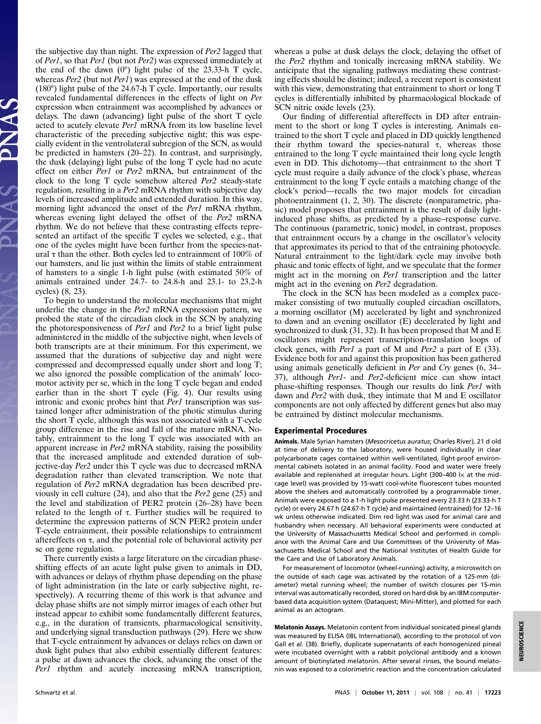the subjective day than night. The expression of Per2 lagged that of Per1, so that Per1 (but not Per2) was expressed immediately at the end of the dawn  $(0^{\circ})$  light pulse of the 23.33-h T cycle, whereas Per2 (but not Per1) was expressed at the end of the dusk (180°) light pulse of the 24.67-h T cycle. Importantly, our results revealed fundamental differences in the effects of light on Per expression when entrainment was accomplished by advances or delays. The dawn (advancing) light pulse of the short T cycle acted to acutely elevate Per1 mRNA from its low baseline level characteristic of the preceding subjective night; this was especially evident in the ventrolateral subregion of the SCN, as would be predicted in hamsters (20–22). In contrast, and surprisingly, the dusk (delaying) light pulse of the long T cycle had no acute effect on either Per1 or Per2 mRNA, but entrainment of the clock to the long T cycle somehow altered Per2 steady-state regulation, resulting in a Per2 mRNA rhythm with subjective day levels of increased amplitude and extended duration. In this way, morning light advanced the onset of the Per1 mRNA rhythm, whereas evening light delayed the offset of the Per2 mRNA rhythm. We do not believe that these contrasting effects represented an artifact of the specific T cycles we selected, e.g., that one of the cycles might have been further from the species-natural τ than the other. Both cycles led to entrainment of  $100\%$  of our hamsters, and lie just within the limits of stable entrainment of hamsters to a single 1-h light pulse (with estimated 50% of animals entrained under 24.7- to 24.8-h and 23.1- to 23.2-h cycles) (8, 23).

To begin to understand the molecular mechanisms that might underlie the change in the Per2 mRNA expression pattern, we probed the state of the circadian clock in the SCN by analyzing the photoresponsiveness of Per1 and Per2 to a brief light pulse administered in the middle of the subjective night, when levels of both transcripts are at their minimum. For this experiment, we assumed that the durations of subjective day and night were compressed and decompressed equally under short and long T; we also ignored the possible complication of the animals' locomotor activity per se, which in the long T cycle began and ended earlier than in the short T cycle (Fig. 4). Our results using intronic and exonic probes hint that *Per1* transcription was sustained longer after administration of the photic stimulus during the short T cycle, although this was not associated with a T-cycle group difference in the rise and fall of the mature mRNA. Notably, entrainment to the long T cycle was associated with an apparent increase in Per2 mRNA stability, raising the possibility that the increased amplitude and extended duration of subjective-day Per2 under this T cycle was due to decreased mRNA degradation rather than elevated transcription. We note that regulation of Per2 mRNA degradation has been described previously in cell culture (24), and also that the Per2 gene (25) and the level and stabilization of PER2 protein (26–28) have been related to the length of  $\tau$ . Further studies will be required to determine the expression patterns of SCN PER2 protein under T-cycle entrainment, their possible relationships to entrainment aftereffects on  $\tau$ , and the potential role of behavioral activity per se on gene regulation.

There currently exists a large literature on the circadian phaseshifting effects of an acute light pulse given to animals in DD, with advances or delays of rhythm phase depending on the phase of light administration (in the late or early subjective night, respectively). A recurring theme of this work is that advance and delay phase shifts are not simply mirror images of each other but instead appear to exhibit some fundamentally different features, e.g., in the duration of transients, pharmacological sensitivity, and underlying signal transduction pathways (29). Here we show that T-cycle entrainment by advances or delays relies on dawn or dusk light pulses that also exhibit essentially different features: a pulse at dawn advances the clock, advancing the onset of the Per1 rhythm and acutely increasing mRNA transcription,

whereas a pulse at dusk delays the clock, delaying the offset of the Per2 rhythm and tonically increasing mRNA stability. We anticipate that the signaling pathways mediating these contrasting effects should be distinct; indeed, a recent report is consistent with this view, demonstrating that entrainment to short or long T cycles is differentially inhibited by pharmacological blockade of SCN nitric oxide levels (23).

Our finding of differential aftereffects in DD after entrainment to the short or long T cycles is interesting. Animals entrained to the short T cycle and placed in DD quickly lengthened their rhythm toward the species-natural  $\tau$ , whereas those entrained to the long T cycle maintained their long cycle length even in DD. This dichotomy—that entrainment to the short T cycle must require a daily advance of the clock's phase, whereas entrainment to the long T cycle entails a matching change of the clock's period—recalls the two major models for circadian photoentrainment (1, 2, 30). The discrete (nonparametric, phasic) model proposes that entrainment is the result of daily lightinduced phase shifts, as predicted by a phase–response curve. The continuous (parametric, tonic) model, in contrast, proposes that entrainment occurs by a change in the oscillator's velocity that approximates its period to that of the entraining photocycle. Natural entrainment to the light/dark cycle may involve both phasic and tonic effects of light, and we speculate that the former might act in the morning on Per1 transcription and the latter might act in the evening on Per2 degradation.

The clock in the SCN has been modeled as a complex pacemaker consisting of two mutually coupled circadian oscillators, a morning oscillator (M) accelerated by light and synchronized to dawn and an evening oscillator (E) decelerated by light and synchronized to dusk (31, 32). It has been proposed that M and E oscillators might represent transcription-translation loops of clock genes, with *Per1* a part of M and *Per2* a part of E  $(33)$ . Evidence both for and against this proposition has been gathered using animals genetically deficient in Per and Cry genes  $(6, 34-$ 37), although Per1- and Per2-deficient mice can show intact phase-shifting responses. Though our results do link Per1 with dawn and Per2 with dusk, they intimate that M and E oscillator components are not only affected by different genes but also may be entrained by distinct molecular mechanisms.

#### Experimental Procedures

Animals. Male Syrian hamsters (Mesocricetus auratus; Charles River), 21 d old at time of delivery to the laboratory, were housed individually in clear polycarbonate cages contained within well-ventilated, light-proof environmental cabinets isolated in an animal facility. Food and water were freely available and replenished at irregular hours. Light (300-400  $\vert x \vert$  at the midcage level) was provided by 15-watt cool-white fluorescent tubes mounted above the shelves and automatically controlled by a programmable timer. Animals were exposed to a 1-h light pulse presented every 23.33 h (23.33-h T cycle) or every 24.67 h (24.67-h T cycle) and maintained (entrained) for 12–16 wk unless otherwise indicated. Dim red light was used for animal care and husbandry when necessary. All behavioral experiments were conducted at the University of Massachusetts Medical School and performed in compliance with the Animal Care and Use Committees of the University of Massachusetts Medical School and the National Institutes of Health Guide for the Care and Use of Laboratory Animals.

For measurement of locomotor (wheel-running) activity, a microswitch on the outside of each cage was activated by the rotation of a 125-mm (diameter) metal running wheel; the number of switch closures per 15-min interval was automatically recorded, stored on hard disk by an IBM computerbased data acquisition system (Dataquest; Mini-Mitter), and plotted for each animal as an actogram.

Melatonin Assays. Melatonin content from individual sonicated pineal glands was measured by ELISA (IBL International), according to the protocol of von Gall et al. (38). Briefly, duplicate supernatants of each homogenized pineal were incubated overnight with a rabbit polyclonal antibody and a known amount of biotinylated melatonin. After several rinses, the bound melatonin was exposed to a colorimetric reaction and the concentration calculated